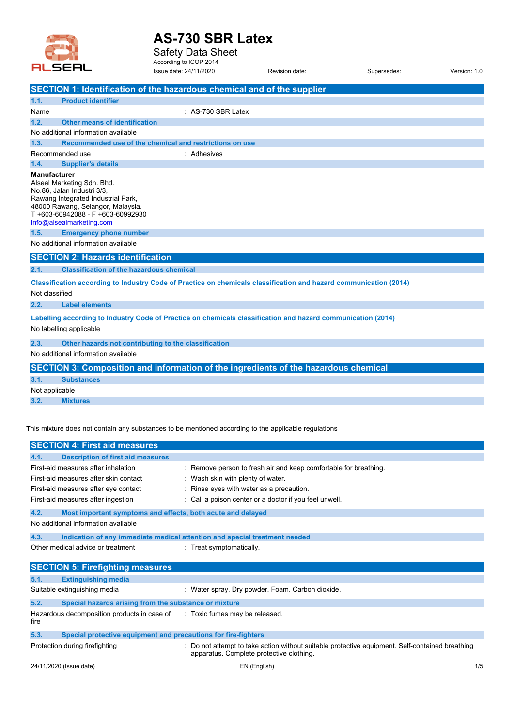

Safety Data Sheet According to ICOP 2014 Issue date: 24/11/2020 Revision date: Supersedes: Version: 1.0

|                     | SECTION 1: Identification of the hazardous chemical and of the supplier                                                                                                                            |
|---------------------|----------------------------------------------------------------------------------------------------------------------------------------------------------------------------------------------------|
| 1.1.                | <b>Product identifier</b>                                                                                                                                                                          |
| Name                | : AS-730 SBR Latex                                                                                                                                                                                 |
| 1.2.                | <b>Other means of identification</b>                                                                                                                                                               |
|                     | No additional information available                                                                                                                                                                |
| 1.3.                | Recommended use of the chemical and restrictions on use                                                                                                                                            |
| Recommended use     | : Adhesives                                                                                                                                                                                        |
| 1.4.                | <b>Supplier's details</b>                                                                                                                                                                          |
| <b>Manufacturer</b> | Alseal Marketing Sdn. Bhd.<br>No.86, Jalan Industri 3/3,<br>Rawang Integrated Industrial Park,<br>48000 Rawang, Selangor, Malaysia.<br>T+603-60942088 - F+603-60992930<br>info@alsealmarketing.com |
| 1.5.                | <b>Emergency phone number</b>                                                                                                                                                                      |
|                     | No additional information available                                                                                                                                                                |
|                     | <b>SECTION 2: Hazards identification</b>                                                                                                                                                           |
| 2.1.                | <b>Classification of the hazardous chemical</b>                                                                                                                                                    |
| Not classified      | Classification according to Industry Code of Practice on chemicals classification and hazard communication (2014)                                                                                  |
| 2.2.                | <b>Label elements</b>                                                                                                                                                                              |
|                     | Labelling according to Industry Code of Practice on chemicals classification and hazard communication (2014)<br>No labelling applicable                                                            |
| 2.3.                | Other hazards not contributing to the classification                                                                                                                                               |
|                     | No additional information available                                                                                                                                                                |
|                     | SECTION 3: Composition and information of the ingredients of the hazardous chemical                                                                                                                |
| 3.1.                | <b>Substances</b>                                                                                                                                                                                  |
| Not applicable      |                                                                                                                                                                                                    |
| 3.2.                | <b>Mixtures</b>                                                                                                                                                                                    |
|                     | This mixture does not contain any substances to be mentioned according to the applicable regulations                                                                                               |

24/11/2020 (Issue date) EN (English) 1/5 **SECTION 4: First aid measures 4.1. Description of first aid measures** First-aid measures after inhalation : Remove person to fresh air and keep comfortable for breathing. First-aid measures after skin contact : Wash skin with plenty of water. First-aid measures after eye contact : Rinse eyes with water as a precaution. First-aid measures after ingestion : Call a poison center or a doctor if you feel unwell. **4.2. Most important symptoms and effects, both acute and delayed** No additional information available **4.3. Indication of any immediate medical attention and special treatment needed** Other medical advice or treatment : Treat symptomatically. **SECTION 5: Firefighting measures 5.1. Extinguishing media** Suitable extinguishing media : Water spray. Dry powder. Foam. Carbon dioxide. **5.2. Special hazards arising from the substance or mixture** Hazardous decomposition products in case of fire : Toxic fumes may be released. **5.3. Special protective equipment and precautions for fire-fighters** Protection during firefighting extending the statempt to take action without suitable protective equipment. Self-contained breathing apparatus. Complete protective clothing.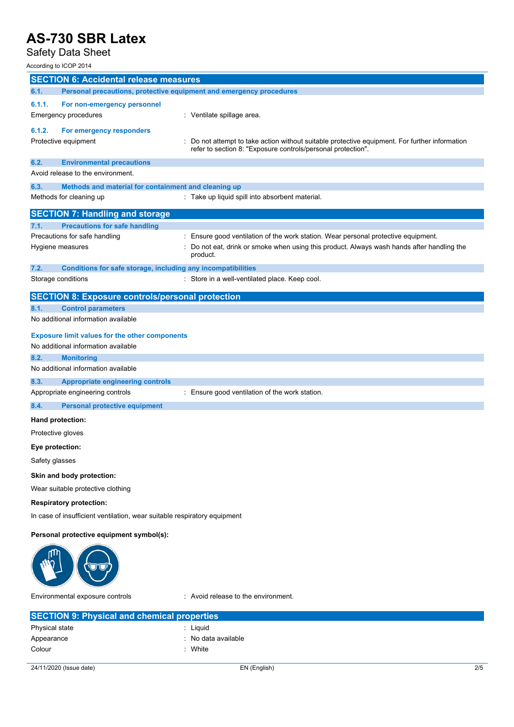## Safety Data Sheet

According to ICOP 2014

| According to ICOP 2014                                                                       |                                                                                                        |  |
|----------------------------------------------------------------------------------------------|--------------------------------------------------------------------------------------------------------|--|
| <b>SECTION 6: Accidental release measures</b>                                                |                                                                                                        |  |
| 6.1.<br>Personal precautions, protective equipment and emergency procedures                  |                                                                                                        |  |
| 6.1.1.<br>For non-emergency personnel                                                        |                                                                                                        |  |
| Emergency procedures                                                                         | : Ventilate spillage area.                                                                             |  |
| 6.1.2.<br>For emergency responders                                                           |                                                                                                        |  |
| Protective equipment                                                                         | Do not attempt to take action without suitable protective equipment. For further information           |  |
|                                                                                              | refer to section 8: "Exposure controls/personal protection".                                           |  |
| 6.2.<br><b>Environmental precautions</b>                                                     |                                                                                                        |  |
| Avoid release to the environment.                                                            |                                                                                                        |  |
| 6.3.<br>Methods and material for containment and cleaning up                                 |                                                                                                        |  |
| Methods for cleaning up                                                                      | : Take up liquid spill into absorbent material.                                                        |  |
| <b>SECTION 7: Handling and storage</b>                                                       |                                                                                                        |  |
| <b>Precautions for safe handling</b><br>7.1.                                                 |                                                                                                        |  |
| Precautions for safe handling                                                                | : Ensure good ventilation of the work station. Wear personal protective equipment.                     |  |
| Hygiene measures                                                                             | : Do not eat, drink or smoke when using this product. Always wash hands after handling the<br>product. |  |
| 7.2.<br>Conditions for safe storage, including any incompatibilities                         |                                                                                                        |  |
| Storage conditions                                                                           | : Store in a well-ventilated place. Keep cool.                                                         |  |
| <b>SECTION 8: Exposure controls/personal protection</b>                                      |                                                                                                        |  |
| <b>Control parameters</b><br>8.1.                                                            |                                                                                                        |  |
| No additional information available                                                          |                                                                                                        |  |
|                                                                                              |                                                                                                        |  |
| <b>Exposure limit values for the other components</b><br>No additional information available |                                                                                                        |  |
| 8.2.<br><b>Monitoring</b>                                                                    |                                                                                                        |  |
| No additional information available                                                          |                                                                                                        |  |
| 8.3.<br><b>Appropriate engineering controls</b>                                              |                                                                                                        |  |
| Appropriate engineering controls                                                             | : Ensure good ventilation of the work station.                                                         |  |
| 8.4.<br><b>Personal protective equipment</b>                                                 |                                                                                                        |  |
|                                                                                              |                                                                                                        |  |
| Hand protection:                                                                             |                                                                                                        |  |
| Protective gloves                                                                            |                                                                                                        |  |
| Eye protection:                                                                              |                                                                                                        |  |
| Safety glasses                                                                               |                                                                                                        |  |
| Skin and body protection:                                                                    |                                                                                                        |  |
| Wear suitable protective clothing                                                            |                                                                                                        |  |
| <b>Respiratory protection:</b>                                                               |                                                                                                        |  |
| In case of insufficient ventilation, wear suitable respiratory equipment                     |                                                                                                        |  |
| Personal protective equipment symbol(s):                                                     |                                                                                                        |  |
|                                                                                              |                                                                                                        |  |
| Environmental exposure controls                                                              | : Avoid release to the environment.                                                                    |  |
| <b>SECTION 9: Physical and chemical properties</b>                                           |                                                                                                        |  |

| Physical state | : Liquid            |
|----------------|---------------------|
| Appearance     | : No data available |
| Colour         | : White             |
|                |                     |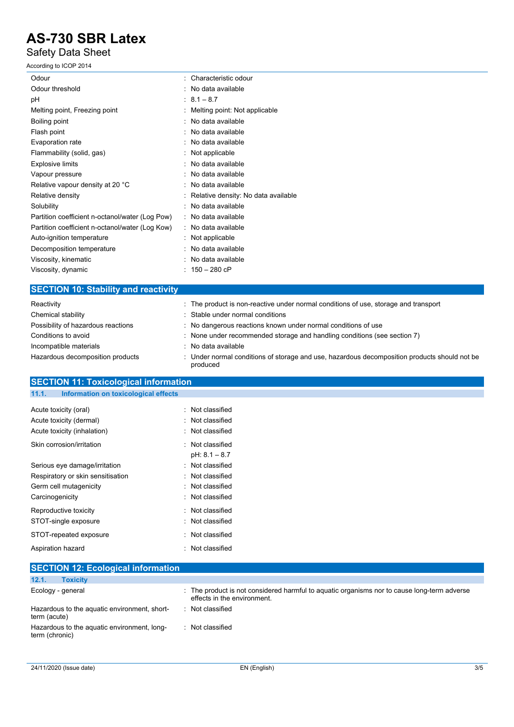### Safety Data Sheet

According to ICOP 2014

| Odour                                           | : Characteristic odour              |
|-------------------------------------------------|-------------------------------------|
| Odour threshold                                 | : No data available                 |
| рH                                              | $: 8.1 - 8.7$                       |
| Melting point, Freezing point                   | Melting point: Not applicable       |
| Boiling point                                   | : No data available                 |
| Flash point                                     | No data available                   |
| Evaporation rate                                | : No data available                 |
| Flammability (solid, gas)                       | : Not applicable                    |
| Explosive limits                                | : No data available                 |
| Vapour pressure                                 | : No data available                 |
| Relative vapour density at 20 °C                | : No data available                 |
| Relative density                                | Relative density: No data available |
| Solubility                                      | : No data available                 |
| Partition coefficient n-octanol/water (Log Pow) | : No data available                 |
| Partition coefficient n-octanol/water (Log Kow) | : No data available                 |
| Auto-ignition temperature                       | : Not applicable                    |
| Decomposition temperature                       | No data available<br>$\bullet$      |
| Viscosity, kinematic                            | : No data available                 |
| Viscosity, dynamic                              | : $150 - 280$ cP                    |
|                                                 |                                     |

### **SECTION 10: Stability and reactivity**

| Reactivity                         | : The product is non-reactive under normal conditions of use, storage and transport                      |
|------------------------------------|----------------------------------------------------------------------------------------------------------|
| Chemical stability                 | : Stable under normal conditions                                                                         |
| Possibility of hazardous reactions | : No dangerous reactions known under normal conditions of use                                            |
| Conditions to avoid                | : None under recommended storage and handling conditions (see section 7)                                 |
| Incompatible materials             | : No data available                                                                                      |
| Hazardous decomposition products   | : Under normal conditions of storage and use, hazardous decomposition products should not be<br>produced |

# **SECTION 11: Toxicological information**

#### **11.1. Information on toxicological effects**

| Acute toxicity (oral)             | Not classified                    |
|-----------------------------------|-----------------------------------|
| Acute toxicity (dermal)           | Not classified                    |
| Acute toxicity (inhalation)       | Not classified                    |
| Skin corrosion/irritation         | Not classified<br>$pH: 8.1 - 8.7$ |
| Serious eye damage/irritation     | Not classified                    |
| Respiratory or skin sensitisation | Not classified                    |
| Germ cell mutagenicity            | Not classified                    |
| Carcinogenicity                   | Not classified                    |
| Reproductive toxicity             | Not classified                    |
| STOT-single exposure              | Not classified                    |
| STOT-repeated exposure            | Not classified                    |
| Aspiration hazard                 | Not classified                    |

| <b>SECTION 12: Ecological information</b>                     |                                                                                                                            |
|---------------------------------------------------------------|----------------------------------------------------------------------------------------------------------------------------|
| 12.1.<br><b>Toxicity</b>                                      |                                                                                                                            |
| Ecology - general                                             | : The product is not considered harmful to aquatic organisms nor to cause long-term adverse<br>effects in the environment. |
| Hazardous to the aquatic environment, short-<br>term (acute)  | : Not classified                                                                                                           |
| Hazardous to the aquatic environment, long-<br>term (chronic) | : Not classified                                                                                                           |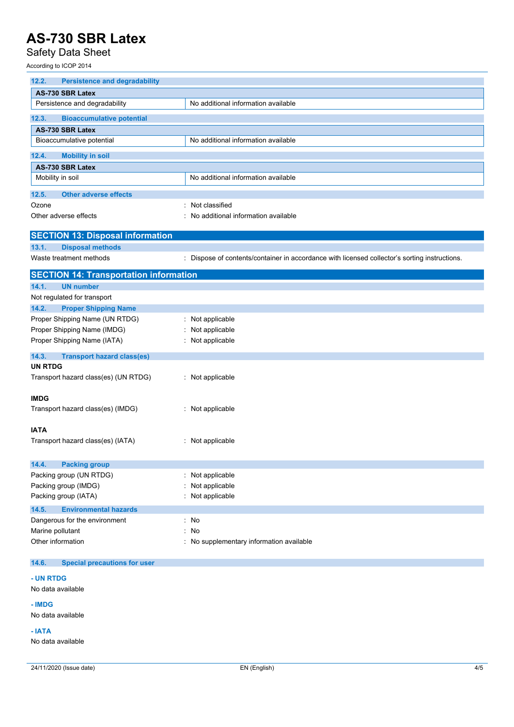## Safety Data Sheet

According to ICOP 2014

| <b>Persistence and degradability</b><br>12.2. |                                                                                               |
|-----------------------------------------------|-----------------------------------------------------------------------------------------------|
| AS-730 SBR Latex                              |                                                                                               |
| Persistence and degradability                 | No additional information available                                                           |
| 12.3.<br><b>Bioaccumulative potential</b>     |                                                                                               |
| AS-730 SBR Latex                              |                                                                                               |
| Bioaccumulative potential                     | No additional information available                                                           |
| 12.4.<br><b>Mobility in soil</b>              |                                                                                               |
| AS-730 SBR Latex                              |                                                                                               |
| Mobility in soil                              | No additional information available                                                           |
| <b>Other adverse effects</b><br>12.5.         |                                                                                               |
| Ozone                                         | Not classified                                                                                |
| Other adverse effects                         | No additional information available                                                           |
|                                               |                                                                                               |
| <b>SECTION 13: Disposal information</b>       |                                                                                               |
| 13.1.<br><b>Disposal methods</b>              |                                                                                               |
| Waste treatment methods                       | : Dispose of contents/container in accordance with licensed collector's sorting instructions. |
| <b>SECTION 14: Transportation information</b> |                                                                                               |
| 14.1.<br><b>UN number</b>                     |                                                                                               |
| Not regulated for transport                   |                                                                                               |
| 14.2.<br><b>Proper Shipping Name</b>          |                                                                                               |
| Proper Shipping Name (UN RTDG)                | : Not applicable                                                                              |
| Proper Shipping Name (IMDG)                   | : Not applicable                                                                              |
| Proper Shipping Name (IATA)                   | : Not applicable                                                                              |
|                                               |                                                                                               |
| 14.3.<br><b>Transport hazard class(es)</b>    |                                                                                               |
| <b>UN RTDG</b>                                |                                                                                               |
| Transport hazard class(es) (UN RTDG)          | : Not applicable                                                                              |
| <b>IMDG</b>                                   |                                                                                               |
| Transport hazard class(es) (IMDG)             | : Not applicable                                                                              |
|                                               |                                                                                               |
| <b>IATA</b>                                   |                                                                                               |
| Transport hazard class(es) (IATA)             | : Not applicable                                                                              |
|                                               |                                                                                               |
| 14.4.<br><b>Packing group</b>                 |                                                                                               |
| Packing group (UN RTDG)                       | : Not applicable                                                                              |
| Packing group (IMDG)                          | Not applicable                                                                                |
| Packing group (IATA)                          | Not applicable                                                                                |
| 14.5.<br><b>Environmental hazards</b>         |                                                                                               |
| Dangerous for the environment                 | : No                                                                                          |
| Marine pollutant                              | : No                                                                                          |
| Other information                             | : No supplementary information available                                                      |
|                                               |                                                                                               |
| 14.6.<br><b>Special precautions for user</b>  |                                                                                               |

#### **- UN RTDG**

#### No data available

**- IMDG**

No data available

**- IATA**

No data available